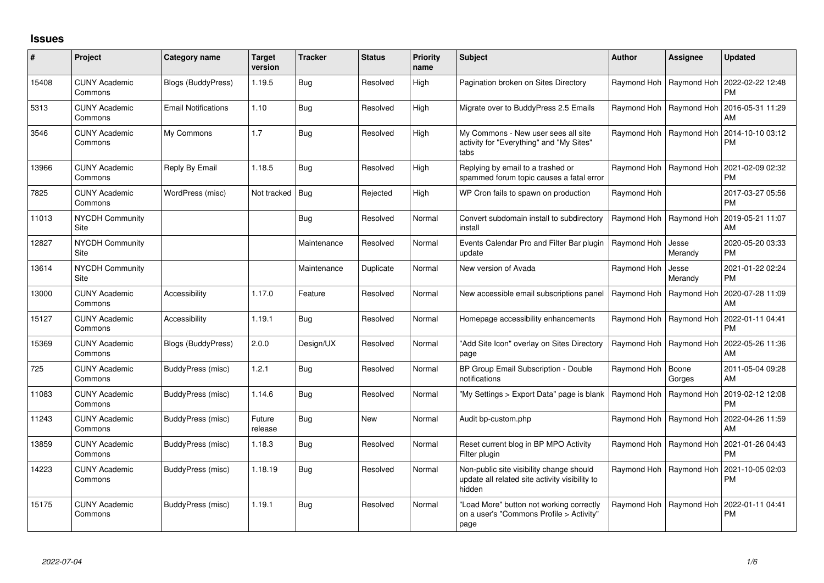## **Issues**

| #     | Project                               | Category name              | <b>Target</b><br>version | <b>Tracker</b> | <b>Status</b> | <b>Priority</b><br>name | <b>Subject</b>                                                                                       | <b>Author</b> | <b>Assignee</b>  | <b>Updated</b>                |
|-------|---------------------------------------|----------------------------|--------------------------|----------------|---------------|-------------------------|------------------------------------------------------------------------------------------------------|---------------|------------------|-------------------------------|
| 15408 | <b>CUNY Academic</b><br>Commons       | <b>Blogs (BuddyPress)</b>  | 1.19.5                   | Bug            | Resolved      | High                    | Pagination broken on Sites Directory                                                                 | Raymond Hoh   | Raymond Hoh      | 2022-02-22 12:48<br><b>PM</b> |
| 5313  | <b>CUNY Academic</b><br>Commons       | <b>Email Notifications</b> | 1.10                     | Bug            | Resolved      | High                    | Migrate over to BuddyPress 2.5 Emails                                                                | Raymond Hoh   | Raymond Hoh      | 2016-05-31 11:29<br>AM        |
| 3546  | <b>CUNY Academic</b><br>Commons       | My Commons                 | 1.7                      | <b>Bug</b>     | Resolved      | High                    | My Commons - New user sees all site<br>activity for "Everything" and "My Sites"<br>tabs              | Raymond Hoh   | Raymond Hoh      | 2014-10-10 03:12<br><b>PM</b> |
| 13966 | <b>CUNY Academic</b><br>Commons       | Reply By Email             | 1.18.5                   | Bug            | Resolved      | High                    | Replying by email to a trashed or<br>spammed forum topic causes a fatal error                        | Raymond Hoh   | Raymond Hoh      | 2021-02-09 02:32<br><b>PM</b> |
| 7825  | <b>CUNY Academic</b><br>Commons       | WordPress (misc)           | Not tracked   Bug        |                | Rejected      | High                    | WP Cron fails to spawn on production                                                                 | Raymond Hoh   |                  | 2017-03-27 05:56<br><b>PM</b> |
| 11013 | <b>NYCDH Community</b><br>Site        |                            |                          | Bug            | Resolved      | Normal                  | Convert subdomain install to subdirectory<br>install                                                 | Raymond Hoh   | Raymond Hoh      | 2019-05-21 11:07<br>AM        |
| 12827 | <b>NYCDH Community</b><br><b>Site</b> |                            |                          | Maintenance    | Resolved      | Normal                  | Events Calendar Pro and Filter Bar plugin<br>update                                                  | Raymond Hoh   | Jesse<br>Merandy | 2020-05-20 03:33<br><b>PM</b> |
| 13614 | <b>NYCDH Community</b><br><b>Site</b> |                            |                          | Maintenance    | Duplicate     | Normal                  | New version of Avada                                                                                 | Raymond Hoh   | Jesse<br>Merandy | 2021-01-22 02:24<br><b>PM</b> |
| 13000 | <b>CUNY Academic</b><br>Commons       | Accessibility              | 1.17.0                   | Feature        | Resolved      | Normal                  | New accessible email subscriptions panel                                                             | Raymond Hoh   | Raymond Hoh      | 2020-07-28 11:09<br>AM        |
| 15127 | <b>CUNY Academic</b><br>Commons       | Accessibility              | 1.19.1                   | Bug            | Resolved      | Normal                  | Homepage accessibility enhancements                                                                  | Raymond Hoh   | Raymond Hoh      | 2022-01-11 04:41<br><b>PM</b> |
| 15369 | <b>CUNY Academic</b><br>Commons       | Blogs (BuddyPress)         | 2.0.0                    | Design/UX      | Resolved      | Normal                  | 'Add Site Icon" overlay on Sites Directory<br>page                                                   | Raymond Hoh   | Raymond Hoh      | 2022-05-26 11:36<br>AM        |
| 725   | <b>CUNY Academic</b><br>Commons       | BuddyPress (misc)          | 1.2.1                    | Bug            | Resolved      | Normal                  | BP Group Email Subscription - Double<br>notifications                                                | Raymond Hoh   | Boone<br>Gorges  | 2011-05-04 09:28<br>AM        |
| 11083 | <b>CUNY Academic</b><br>Commons       | BuddyPress (misc)          | 1.14.6                   | Bug            | Resolved      | Normal                  | "My Settings > Export Data" page is blank                                                            | Raymond Hoh   | Raymond Hoh      | 2019-02-12 12:08<br><b>PM</b> |
| 11243 | <b>CUNY Academic</b><br>Commons       | BuddyPress (misc)          | Future<br>release        | Bug            | New           | Normal                  | Audit bp-custom.php                                                                                  | Raymond Hoh   | Raymond Hoh      | 2022-04-26 11:59<br>AM        |
| 13859 | <b>CUNY Academic</b><br>Commons       | BuddyPress (misc)          | 1.18.3                   | Bug            | Resolved      | Normal                  | Reset current blog in BP MPO Activity<br>Filter plugin                                               | Raymond Hoh   | Raymond Hoh      | 2021-01-26 04:43<br><b>PM</b> |
| 14223 | <b>CUNY Academic</b><br>Commons       | BuddyPress (misc)          | 1.18.19                  | Bug            | Resolved      | Normal                  | Non-public site visibility change should<br>update all related site activity visibility to<br>hidden | Raymond Hoh   | Raymond Hoh      | 2021-10-05 02:03<br><b>PM</b> |
| 15175 | <b>CUNY Academic</b><br>Commons       | BuddyPress (misc)          | 1.19.1                   | Bug            | Resolved      | Normal                  | "Load More" button not working correctly<br>on a user's "Commons Profile > Activity"<br>page         | Raymond Hoh   | Raymond Hoh      | 2022-01-11 04:41<br><b>PM</b> |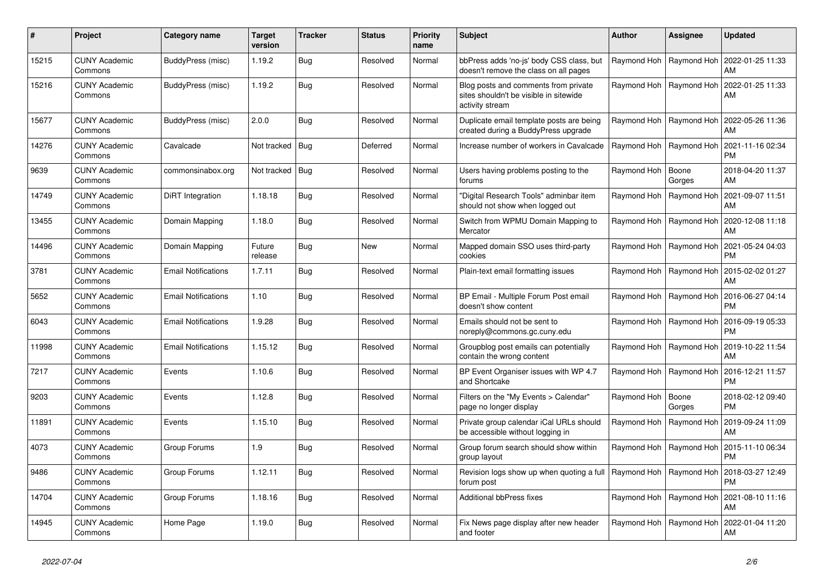| #     | Project                         | Category name              | <b>Target</b><br>version | <b>Tracker</b> | <b>Status</b> | <b>Priority</b><br>name | <b>Subject</b>                                                                                    | <b>Author</b>             | Assignee                  | Updated                       |
|-------|---------------------------------|----------------------------|--------------------------|----------------|---------------|-------------------------|---------------------------------------------------------------------------------------------------|---------------------------|---------------------------|-------------------------------|
| 15215 | <b>CUNY Academic</b><br>Commons | BuddyPress (misc)          | 1.19.2                   | Bug            | Resolved      | Normal                  | bbPress adds 'no-js' body CSS class, but<br>doesn't remove the class on all pages                 | Raymond Hoh   Raymond Hoh |                           | 2022-01-25 11:33<br>AM        |
| 15216 | <b>CUNY Academic</b><br>Commons | BuddyPress (misc)          | 1.19.2                   | Bug            | Resolved      | Normal                  | Blog posts and comments from private<br>sites shouldn't be visible in sitewide<br>activity stream | Raymond Hoh               | Raymond Hoh               | 2022-01-25 11:33<br>AM        |
| 15677 | <b>CUNY Academic</b><br>Commons | BuddyPress (misc)          | 2.0.0                    | Bug            | Resolved      | Normal                  | Duplicate email template posts are being<br>created during a BuddyPress upgrade                   |                           | Raymond Hoh   Raymond Hoh | 2022-05-26 11:36<br>AM        |
| 14276 | <b>CUNY Academic</b><br>Commons | Cavalcade                  | Not tracked              | Bug            | Deferred      | Normal                  | Increase number of workers in Cavalcade                                                           |                           | Raymond Hoh   Raymond Hoh | 2021-11-16 02:34<br><b>PM</b> |
| 9639  | <b>CUNY Academic</b><br>Commons | commonsinabox.org          | Not tracked   Bug        |                | Resolved      | Normal                  | Users having problems posting to the<br>forums                                                    | Raymond Hoh               | Boone<br>Gorges           | 2018-04-20 11:37<br>AM        |
| 14749 | <b>CUNY Academic</b><br>Commons | DiRT Integration           | 1.18.18                  | Bug            | Resolved      | Normal                  | "Digital Research Tools" adminbar item<br>should not show when logged out                         |                           | Raymond Hoh   Raymond Hoh | 2021-09-07 11:51<br>AM        |
| 13455 | <b>CUNY Academic</b><br>Commons | Domain Mapping             | 1.18.0                   | Bug            | Resolved      | Normal                  | Switch from WPMU Domain Mapping to<br>Mercator                                                    | Raymond Hoh               | Raymond Hoh               | 2020-12-08 11:18<br>AM        |
| 14496 | <b>CUNY Academic</b><br>Commons | Domain Mapping             | Future<br>release        | Bug            | <b>New</b>    | Normal                  | Mapped domain SSO uses third-party<br>cookies                                                     | Raymond Hoh               | Raymond Hoh               | 2021-05-24 04:03<br>PM        |
| 3781  | <b>CUNY Academic</b><br>Commons | <b>Email Notifications</b> | 1.7.11                   | Bug            | Resolved      | Normal                  | Plain-text email formatting issues                                                                |                           | Raymond Hoh   Raymond Hoh | 2015-02-02 01:27<br>AM        |
| 5652  | <b>CUNY Academic</b><br>Commons | <b>Email Notifications</b> | 1.10                     | <b>Bug</b>     | Resolved      | Normal                  | BP Email - Multiple Forum Post email<br>doesn't show content                                      |                           | Raymond Hoh   Raymond Hoh | 2016-06-27 04:14<br>PM        |
| 6043  | <b>CUNY Academic</b><br>Commons | <b>Email Notifications</b> | 1.9.28                   | <b>Bug</b>     | Resolved      | Normal                  | Emails should not be sent to<br>noreply@commons.gc.cuny.edu                                       | Raymond Hoh               | Raymond Hoh               | 2016-09-19 05:33<br><b>PM</b> |
| 11998 | <b>CUNY Academic</b><br>Commons | <b>Email Notifications</b> | 1.15.12                  | <b>Bug</b>     | Resolved      | Normal                  | Groupblog post emails can potentially<br>contain the wrong content                                |                           | Raymond Hoh   Raymond Hoh | 2019-10-22 11:54<br>AM        |
| 7217  | <b>CUNY Academic</b><br>Commons | Events                     | 1.10.6                   | <b>Bug</b>     | Resolved      | Normal                  | BP Event Organiser issues with WP 4.7<br>and Shortcake                                            | Raymond Hoh               | Raymond Hoh               | 2016-12-21 11:57<br><b>PM</b> |
| 9203  | <b>CUNY Academic</b><br>Commons | Events                     | 1.12.8                   | Bug            | Resolved      | Normal                  | Filters on the "My Events > Calendar"<br>page no longer display                                   | Raymond Hoh               | Boone<br>Gorges           | 2018-02-12 09:40<br><b>PM</b> |
| 11891 | <b>CUNY Academic</b><br>Commons | Events                     | 1.15.10                  | <b>Bug</b>     | Resolved      | Normal                  | Private group calendar iCal URLs should<br>be accessible without logging in                       |                           | Raymond Hoh   Raymond Hoh | 2019-09-24 11:09<br>AM        |
| 4073  | <b>CUNY Academic</b><br>Commons | Group Forums               | 1.9                      | Bug            | Resolved      | Normal                  | Group forum search should show within<br>group layout                                             | Raymond Hoh               | Raymond Hoh               | 2015-11-10 06:34<br>PM        |
| 9486  | <b>CUNY Academic</b><br>Commons | Group Forums               | 1.12.11                  | <b>Bug</b>     | Resolved      | Normal                  | Revision logs show up when quoting a full<br>forum post                                           | Raymond Hoh   Raymond Hoh |                           | 2018-03-27 12:49<br>PM        |
| 14704 | <b>CUNY Academic</b><br>Commons | Group Forums               | 1.18.16                  | Bug            | Resolved      | Normal                  | <b>Additional bbPress fixes</b>                                                                   |                           | Raymond Hoh   Raymond Hoh | 2021-08-10 11:16<br>AM        |
| 14945 | <b>CUNY Academic</b><br>Commons | Home Page                  | 1.19.0                   | Bug            | Resolved      | Normal                  | Fix News page display after new header<br>and footer                                              |                           | Raymond Hoh   Raymond Hoh | 2022-01-04 11:20<br>AM        |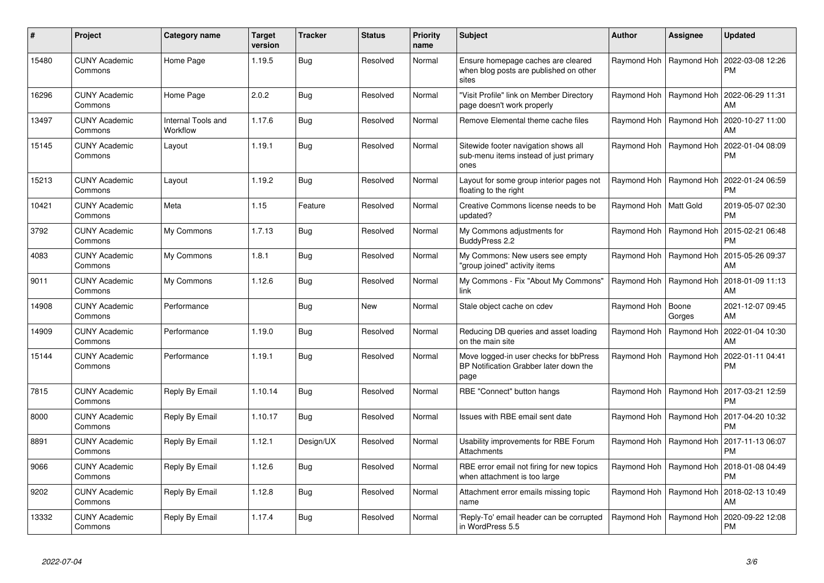| #     | Project                         | Category name                  | <b>Target</b><br>version | <b>Tracker</b> | <b>Status</b> | Priority<br>name | <b>Subject</b>                                                                           | <b>Author</b>           | <b>Assignee</b>           | Updated                       |
|-------|---------------------------------|--------------------------------|--------------------------|----------------|---------------|------------------|------------------------------------------------------------------------------------------|-------------------------|---------------------------|-------------------------------|
| 15480 | <b>CUNY Academic</b><br>Commons | Home Page                      | 1.19.5                   | <b>Bug</b>     | Resolved      | Normal           | Ensure homepage caches are cleared<br>when blog posts are published on other<br>sites    |                         | Raymond Hoh   Raymond Hoh | 2022-03-08 12:26<br>PМ        |
| 16296 | <b>CUNY Academic</b><br>Commons | Home Page                      | 2.0.2                    | Bug            | Resolved      | Normal           | 'Visit Profile" link on Member Directory<br>page doesn't work properly                   | Raymond Hoh             | Raymond Hoh               | 2022-06-29 11:31<br>AM        |
| 13497 | <b>CUNY Academic</b><br>Commons | Internal Tools and<br>Workflow | 1.17.6                   | Bug            | Resolved      | Normal           | Remove Elemental theme cache files                                                       |                         | Raymond Hoh   Raymond Hoh | 2020-10-27 11:00<br>AM        |
| 15145 | <b>CUNY Academic</b><br>Commons | Layout                         | 1.19.1                   | Bug            | Resolved      | Normal           | Sitewide footer navigation shows all<br>sub-menu items instead of just primary<br>ones   | Raymond Hoh             | Raymond Hoh               | 2022-01-04 08:09<br>PM        |
| 15213 | <b>CUNY Academic</b><br>Commons | Layout                         | 1.19.2                   | <b>Bug</b>     | Resolved      | Normal           | Layout for some group interior pages not<br>floating to the right                        | Raymond Hoh             | Raymond Hoh               | 2022-01-24 06:59<br>PM        |
| 10421 | <b>CUNY Academic</b><br>Commons | Meta                           | 1.15                     | Feature        | Resolved      | Normal           | Creative Commons license needs to be<br>updated?                                         | Raymond Hoh   Matt Gold |                           | 2019-05-07 02:30<br><b>PM</b> |
| 3792  | <b>CUNY Academic</b><br>Commons | My Commons                     | 1.7.13                   | Bug            | Resolved      | Normal           | My Commons adjustments for<br>BuddyPress 2.2                                             | Raymond Hoh             | Raymond Hoh               | 2015-02-21 06:48<br>PM        |
| 4083  | <b>CUNY Academic</b><br>Commons | My Commons                     | 1.8.1                    | <b>Bug</b>     | Resolved      | Normal           | My Commons: New users see empty<br>'group joined" activity items                         |                         | Raymond Hoh   Raymond Hoh | 2015-05-26 09:37<br>AM        |
| 9011  | <b>CUNY Academic</b><br>Commons | My Commons                     | 1.12.6                   | Bug            | Resolved      | Normal           | My Commons - Fix "About My Commons"<br>link                                              | Raymond Hoh             | Raymond Hoh               | 2018-01-09 11:13<br>AM        |
| 14908 | <b>CUNY Academic</b><br>Commons | Performance                    |                          | Bug            | New           | Normal           | Stale object cache on cdev                                                               | Raymond Hoh             | Boone<br>Gorges           | 2021-12-07 09:45<br>AM        |
| 14909 | <b>CUNY Academic</b><br>Commons | Performance                    | 1.19.0                   | Bug            | Resolved      | Normal           | Reducing DB queries and asset loading<br>on the main site                                | Raymond Hoh             | Raymond Hoh               | 2022-01-04 10:30<br>AM        |
| 15144 | <b>CUNY Academic</b><br>Commons | Performance                    | 1.19.1                   | <b>Bug</b>     | Resolved      | Normal           | Move logged-in user checks for bbPress<br>BP Notification Grabber later down the<br>page | Raymond Hoh             | Raymond Hoh               | 2022-01-11 04:41<br>PM        |
| 7815  | <b>CUNY Academic</b><br>Commons | Reply By Email                 | 1.10.14                  | <b>Bug</b>     | Resolved      | Normal           | RBE "Connect" button hangs                                                               |                         | Raymond Hoh   Raymond Hoh | 2017-03-21 12:59<br>PM        |
| 8000  | <b>CUNY Academic</b><br>Commons | Reply By Email                 | 1.10.17                  | <b>Bug</b>     | Resolved      | Normal           | Issues with RBE email sent date                                                          | Raymond Hoh             | Raymond Hoh               | 2017-04-20 10:32<br>PM        |
| 8891  | <b>CUNY Academic</b><br>Commons | Reply By Email                 | 1.12.1                   | Design/UX      | Resolved      | Normal           | Usability improvements for RBE Forum<br><b>Attachments</b>                               |                         | Raymond Hoh   Raymond Hoh | 2017-11-13 06:07<br>PM        |
| 9066  | <b>CUNY Academic</b><br>Commons | Reply By Email                 | 1.12.6                   | Bug            | Resolved      | Normal           | RBE error email not firing for new topics<br>when attachment is too large                | Raymond Hoh             | Raymond Hoh               | 2018-01-08 04:49<br><b>PM</b> |
| 9202  | <b>CUNY Academic</b><br>Commons | Reply By Email                 | 1.12.8                   | <b>Bug</b>     | Resolved      | Normal           | Attachment error emails missing topic<br>name                                            | Raymond Hoh             | Raymond Hoh               | 2018-02-13 10:49<br>AM        |
| 13332 | CUNY Academic<br>Commons        | Reply By Email                 | 1.17.4                   | Bug            | Resolved      | Normal           | 'Reply-To' email header can be corrupted<br>in WordPress 5.5                             | Raymond Hoh             | Raymond Hoh               | 2020-09-22 12:08<br>PM        |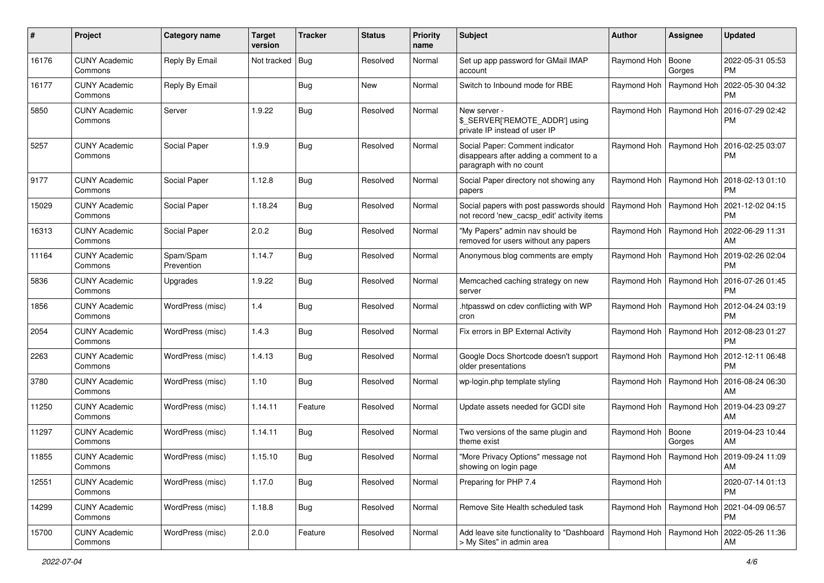| #     | Project                         | Category name           | <b>Target</b><br>version | <b>Tracker</b> | <b>Status</b> | <b>Priority</b><br>name | <b>Subject</b>                                                                                       | <b>Author</b>             | <b>Assignee</b>           | <b>Updated</b>                |
|-------|---------------------------------|-------------------------|--------------------------|----------------|---------------|-------------------------|------------------------------------------------------------------------------------------------------|---------------------------|---------------------------|-------------------------------|
| 16176 | <b>CUNY Academic</b><br>Commons | Reply By Email          | Not tracked              | <b>Bug</b>     | Resolved      | Normal                  | Set up app password for GMail IMAP<br>account                                                        | Raymond Hoh               | Boone<br>Gorges           | 2022-05-31 05:53<br>PM.       |
| 16177 | <b>CUNY Academic</b><br>Commons | Reply By Email          |                          | Bug            | New           | Normal                  | Switch to Inbound mode for RBE                                                                       | Raymond Hoh               | Raymond Hoh               | 2022-05-30 04:32<br>PM        |
| 5850  | CUNY Academic<br>Commons        | Server                  | 1.9.22                   | Bug            | Resolved      | Normal                  | New server -<br>\$_SERVER['REMOTE_ADDR'] using<br>private IP instead of user IP                      | Raymond Hoh   Raymond Hoh |                           | 2016-07-29 02:42<br><b>PM</b> |
| 5257  | <b>CUNY Academic</b><br>Commons | Social Paper            | 1.9.9                    | Bug            | Resolved      | Normal                  | Social Paper: Comment indicator<br>disappears after adding a comment to a<br>paragraph with no count | Raymond Hoh   Raymond Hoh |                           | 2016-02-25 03:07<br><b>PM</b> |
| 9177  | <b>CUNY Academic</b><br>Commons | Social Paper            | 1.12.8                   | Bug            | Resolved      | Normal                  | Social Paper directory not showing any<br>papers                                                     | Raymond Hoh   Raymond Hoh |                           | 2018-02-13 01:10<br>PM.       |
| 15029 | <b>CUNY Academic</b><br>Commons | Social Paper            | 1.18.24                  | Bug            | Resolved      | Normal                  | Social papers with post passwords should<br>not record 'new_cacsp_edit' activity items               | Raymond Hoh   Raymond Hoh |                           | 2021-12-02 04:15<br><b>PM</b> |
| 16313 | <b>CUNY Academic</b><br>Commons | Social Paper            | 2.0.2                    | Bug            | Resolved      | Normal                  | "My Papers" admin nav should be<br>removed for users without any papers                              | Raymond Hoh   Raymond Hoh |                           | 2022-06-29 11:31<br>AM        |
| 11164 | <b>CUNY Academic</b><br>Commons | Spam/Spam<br>Prevention | 1.14.7                   | Bug            | Resolved      | Normal                  | Anonymous blog comments are empty                                                                    |                           | Raymond Hoh   Raymond Hoh | 2019-02-26 02:04<br><b>PM</b> |
| 5836  | <b>CUNY Academic</b><br>Commons | Upgrades                | 1.9.22                   | Bug            | Resolved      | Normal                  | Memcached caching strategy on new<br>server                                                          |                           | Raymond Hoh   Raymond Hoh | 2016-07-26 01:45<br>PM.       |
| 1856  | <b>CUNY Academic</b><br>Commons | WordPress (misc)        | 1.4                      | Bug            | Resolved      | Normal                  | htpasswd on cdev conflicting with WP<br>cron                                                         | Raymond Hoh   Raymond Hoh |                           | 2012-04-24 03:19<br>PM        |
| 2054  | <b>CUNY Academic</b><br>Commons | WordPress (misc)        | 1.4.3                    | Bug            | Resolved      | Normal                  | Fix errors in BP External Activity                                                                   | Raymond Hoh   Raymond Hoh |                           | 2012-08-23 01:27<br><b>PM</b> |
| 2263  | <b>CUNY Academic</b><br>Commons | WordPress (misc)        | 1.4.13                   | Bug            | Resolved      | Normal                  | Google Docs Shortcode doesn't support<br>older presentations                                         | Raymond Hoh   Raymond Hoh |                           | 2012-12-11 06:48<br><b>PM</b> |
| 3780  | <b>CUNY Academic</b><br>Commons | WordPress (misc)        | 1.10                     | <b>Bug</b>     | Resolved      | Normal                  | wp-login.php template styling                                                                        | Raymond Hoh   Raymond Hoh |                           | 2016-08-24 06:30<br>AM        |
| 11250 | <b>CUNY Academic</b><br>Commons | <b>WordPress (misc)</b> | 1.14.11                  | Feature        | Resolved      | Normal                  | Update assets needed for GCDI site                                                                   | Raymond Hoh   Raymond Hoh |                           | 2019-04-23 09:27<br>AM        |
| 11297 | <b>CUNY Academic</b><br>Commons | WordPress (misc)        | 1.14.11                  | Bug            | Resolved      | Normal                  | Two versions of the same plugin and<br>theme exist                                                   | Raymond Hoh               | Boone<br>Gorges           | 2019-04-23 10:44<br>AM        |
| 11855 | <b>CUNY Academic</b><br>Commons | WordPress (misc)        | 1.15.10                  | Bug            | Resolved      | Normal                  | "More Privacy Options" message not<br>showing on login page                                          |                           | Raymond Hoh   Raymond Hoh | 2019-09-24 11:09<br>AM        |
| 12551 | <b>CUNY Academic</b><br>Commons | WordPress (misc)        | 1.17.0                   | <b>Bug</b>     | Resolved      | Normal                  | Preparing for PHP 7.4                                                                                | Raymond Hoh               |                           | 2020-07-14 01:13<br>PM        |
| 14299 | <b>CUNY Academic</b><br>Commons | WordPress (misc)        | 1.18.8                   | Bug            | Resolved      | Normal                  | Remove Site Health scheduled task                                                                    | Raymond Hoh   Raymond Hoh |                           | 2021-04-09 06:57<br><b>PM</b> |
| 15700 | <b>CUNY Academic</b><br>Commons | WordPress (misc)        | 2.0.0                    | Feature        | Resolved      | Normal                  | Add leave site functionality to "Dashboard<br>> My Sites" in admin area                              | Raymond Hoh   Raymond Hoh |                           | 2022-05-26 11:36<br>AM        |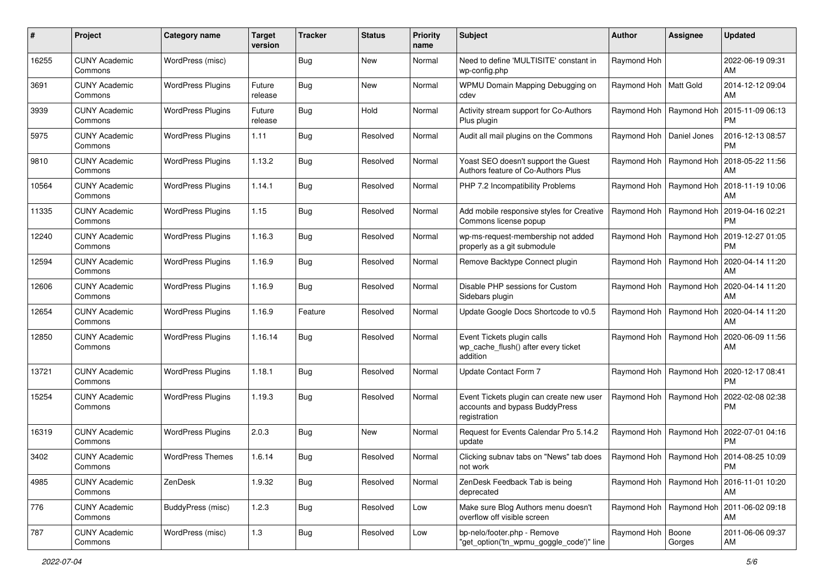| #     | Project                         | Category name            | <b>Target</b><br>version | <b>Tracker</b> | <b>Status</b> | <b>Priority</b><br>name | Subject                                                                                    | Author                    | Assignee                  | <b>Updated</b>                                     |
|-------|---------------------------------|--------------------------|--------------------------|----------------|---------------|-------------------------|--------------------------------------------------------------------------------------------|---------------------------|---------------------------|----------------------------------------------------|
| 16255 | <b>CUNY Academic</b><br>Commons | WordPress (misc)         |                          | Bug            | <b>New</b>    | Normal                  | Need to define 'MULTISITE' constant in<br>wp-config.php                                    | Raymond Hoh               |                           | 2022-06-19 09:31<br>AM                             |
| 3691  | <b>CUNY Academic</b><br>Commons | <b>WordPress Plugins</b> | Future<br>release        | <b>Bug</b>     | New           | Normal                  | WPMU Domain Mapping Debugging on<br>cdev                                                   | Raymond Hoh   Matt Gold   |                           | 2014-12-12 09:04<br>AM                             |
| 3939  | <b>CUNY Academic</b><br>Commons | <b>WordPress Plugins</b> | Future<br>release        | Bug            | Hold          | Normal                  | Activity stream support for Co-Authors<br>Plus plugin                                      | Raymond Hoh               | Raymond Hoh               | 2015-11-09 06:13<br><b>PM</b>                      |
| 5975  | <b>CUNY Academic</b><br>Commons | <b>WordPress Plugins</b> | 1.11                     | Bug            | Resolved      | Normal                  | Audit all mail plugins on the Commons                                                      | Raymond Hoh               | Daniel Jones              | 2016-12-13 08:57<br>PM                             |
| 9810  | <b>CUNY Academic</b><br>Commons | <b>WordPress Plugins</b> | 1.13.2                   | Bug            | Resolved      | Normal                  | Yoast SEO doesn't support the Guest<br>Authors feature of Co-Authors Plus                  | Raymond Hoh               | Raymond Hoh               | 2018-05-22 11:56<br>AM                             |
| 10564 | <b>CUNY Academic</b><br>Commons | <b>WordPress Plugins</b> | 1.14.1                   | Bug            | Resolved      | Normal                  | PHP 7.2 Incompatibility Problems                                                           | Raymond Hoh               | Raymond Hoh               | 2018-11-19 10:06<br>AM                             |
| 11335 | <b>CUNY Academic</b><br>Commons | <b>WordPress Plugins</b> | 1.15                     | Bug            | Resolved      | Normal                  | Add mobile responsive styles for Creative<br>Commons license popup                         | Raymond Hoh               | Raymond Hoh               | 2019-04-16 02:21<br><b>PM</b>                      |
| 12240 | <b>CUNY Academic</b><br>Commons | <b>WordPress Plugins</b> | 1.16.3                   | Bug            | Resolved      | Normal                  | wp-ms-request-membership not added<br>properly as a git submodule                          | Raymond Hoh               | Raymond Hoh               | 2019-12-27 01:05<br><b>PM</b>                      |
| 12594 | <b>CUNY Academic</b><br>Commons | <b>WordPress Plugins</b> | 1.16.9                   | Bug            | Resolved      | Normal                  | Remove Backtype Connect plugin                                                             | Raymond Hoh               | Raymond Hoh               | 2020-04-14 11:20<br>AM                             |
| 12606 | <b>CUNY Academic</b><br>Commons | <b>WordPress Plugins</b> | 1.16.9                   | Bug            | Resolved      | Normal                  | Disable PHP sessions for Custom<br>Sidebars plugin                                         | Raymond Hoh               | Raymond Hoh               | 2020-04-14 11:20<br>AM                             |
| 12654 | <b>CUNY Academic</b><br>Commons | <b>WordPress Plugins</b> | 1.16.9                   | Feature        | Resolved      | Normal                  | Update Google Docs Shortcode to v0.5                                                       | Raymond Hoh               | Raymond Hoh               | 2020-04-14 11:20<br>AM                             |
| 12850 | <b>CUNY Academic</b><br>Commons | <b>WordPress Plugins</b> | 1.16.14                  | Bug            | Resolved      | Normal                  | Event Tickets plugin calls<br>wp cache flush() after every ticket<br>addition              |                           | Raymond Hoh   Raymond Hoh | 2020-06-09 11:56<br>AM                             |
| 13721 | <b>CUNY Academic</b><br>Commons | <b>WordPress Plugins</b> | 1.18.1                   | Bug            | Resolved      | Normal                  | Update Contact Form 7                                                                      | Raymond Hoh               | Raymond Hoh               | 2020-12-17 08:41<br><b>PM</b>                      |
| 15254 | <b>CUNY Academic</b><br>Commons | <b>WordPress Plugins</b> | 1.19.3                   | Bug            | Resolved      | Normal                  | Event Tickets plugin can create new user<br>accounts and bypass BuddyPress<br>registration | Raymond Hoh               | Raymond Hoh               | 2022-02-08 02:38<br>PM                             |
| 16319 | <b>CUNY Academic</b><br>Commons | <b>WordPress Plugins</b> | 2.0.3                    | Bug            | New           | Normal                  | Request for Events Calendar Pro 5.14.2<br>update                                           | Raymond Hoh               | Raymond Hoh               | 2022-07-01 04:16<br><b>PM</b>                      |
| 3402  | <b>CUNY Academic</b><br>Commons | <b>WordPress Themes</b>  | 1.6.14                   | Bug            | Resolved      | Normal                  | Clicking subnav tabs on "News" tab does<br>not work                                        |                           |                           | Raymond Hoh   Raymond Hoh   2014-08-25 10:09<br>PM |
| 4985  | <b>CUNY Academic</b><br>Commons | ZenDesk                  | 1.9.32                   | Bug            | Resolved      | Normal                  | ZenDesk Feedback Tab is being<br>deprecated                                                | Raymond Hoh   Raymond Hoh |                           | 2016-11-01 10:20<br>AM                             |
| 776   | <b>CUNY Academic</b><br>Commons | BuddyPress (misc)        | 1.2.3                    | <b>Bug</b>     | Resolved      | Low                     | Make sure Blog Authors menu doesn't<br>overflow off visible screen                         | Raymond Hoh   Raymond Hoh |                           | 2011-06-02 09:18<br>AM                             |
| 787   | <b>CUNY Academic</b><br>Commons | WordPress (misc)         | 1.3                      | <b>Bug</b>     | Resolved      | Low                     | bp-nelo/footer.php - Remove<br>"get_option('tn_wpmu_goggle_code')" line                    | Raymond Hoh   Boone       | Gorges                    | 2011-06-06 09:37<br>AM                             |